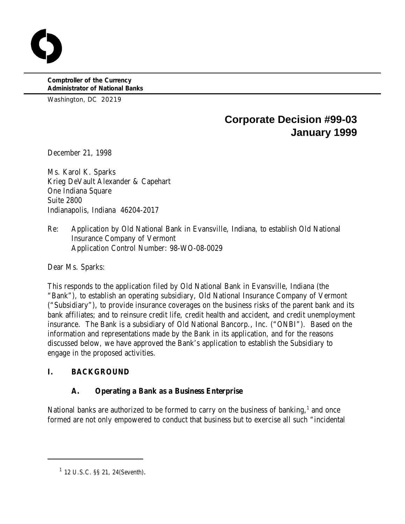**Comptroller of the Currency Administrator of National Banks**

Washington, DC 20219

# **Corporate Decision #99-03 January 1999**

December 21, 1998

Ms. Karol K. Sparks Krieg DeVault Alexander & Capehart One Indiana Square Suite 2800 Indianapolis, Indiana 46204-2017

Re: Application by Old National Bank in Evansville, Indiana, to establish Old National Insurance Company of Vermont Application Control Number: 98-WO-08-0029

Dear Ms. Sparks:

This responds to the application filed by Old National Bank in Evansville, Indiana (the "Bank"), to establish an operating subsidiary, Old National Insurance Company of Vermont ("Subsidiary"), to provide insurance coverages on the business risks of the parent bank and its bank affiliates; and to reinsure credit life, credit health and accident, and credit unemployment insurance. The Bank is a subsidiary of Old National Bancorp., Inc. ("ONBI"). Based on the information and representations made by the Bank in its application, and for the reasons discussed below, we have approved the Bank's application to establish the Subsidiary to engage in the proposed activities.

# **I. BACKGROUND**

# **A. Operating a Bank as a Business Enterprise**

National banks are authorized to be formed to carry on the business of banking, $<sup>1</sup>$  and once</sup> formed are not only empowered to conduct that business but to exercise all such "incidental

 $12$  U.S.C. §§ 21, 24(Seventh).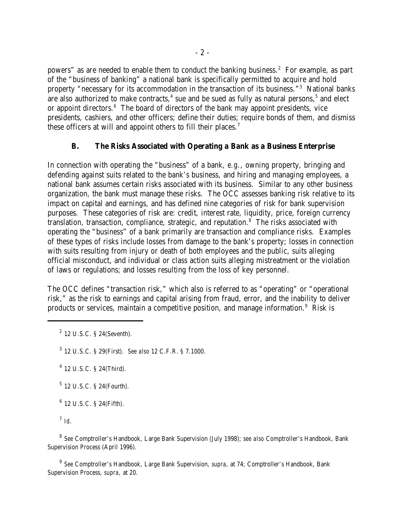powers" as are needed to enable them to conduct the banking business.<sup>2</sup> For example, as part of the "business of banking" a national bank is specifically permitted to acquire and hold property "necessary for its accommodation in the transaction of its business."<sup>3</sup> National banks are also authorized to make contracts, $4$  sue and be sued as fully as natural persons,  $5$  and elect or appoint directors. $6$  The board of directors of the bank may appoint presidents, vice presidents, cashiers, and other officers; define their duties; require bonds of them, and dismiss these officers at will and appoint others to fill their places.<sup>7</sup>

#### **B. The Risks Associated with Operating a Bank as a Business Enterprise**

In connection with operating the "business" of a bank, *e.g.*, owning property, bringing and defending against suits related to the bank's business, and hiring and managing employees, a national bank assumes certain risks associated with its business. Similar to any other business organization, the bank must manage these risks. The OCC assesses banking risk relative to its impact on capital and earnings, and has defined nine categories of risk for bank supervision purposes. These categories of risk are: credit, interest rate, liquidity, price, foreign currency translation, transaction, compliance, strategic, and reputation.<sup>8</sup> The risks associated with operating the "business" of a bank primarily are transaction and compliance risks. Examples of these types of risks include losses from damage to the bank's property; losses in connection with suits resulting from injury or death of both employees and the public, suits alleging official misconduct, and individual or class action suits alleging mistreatment or the violation of laws or regulations; and losses resulting from the loss of key personnel.

The OCC defines "transaction risk," which also is referred to as "operating" or "operational risk," as the risk to earnings and capital arising from fraud, error, and the inability to deliver products or services, maintain a competitive position, and manage information.<sup>9</sup> Risk is

<sup>3</sup> 12 U.S.C. § 29(First). *See also* 12 C.F.R. § 7.1000.

 $4$  12 U.S.C. § 24(Third).

 $5$  12 U.S.C. § 24(Fourth).

 $6$  12 U.S.C. § 24(Fifth).

*Id*. 7

<sup>8</sup> See Comptroller's Handbook, Large Bank Supervision (July 1998); *see also* Comptroller's Handbook, Bank Supervision Process (April 1996).

<sup>9</sup> See Comptroller's Handbook, Large Bank Supervision, *supra*, at 74; Comptroller's Handbook, Bank Supervision Process*, supra*, at 20.

 $2$  12 U.S.C. § 24(Seventh).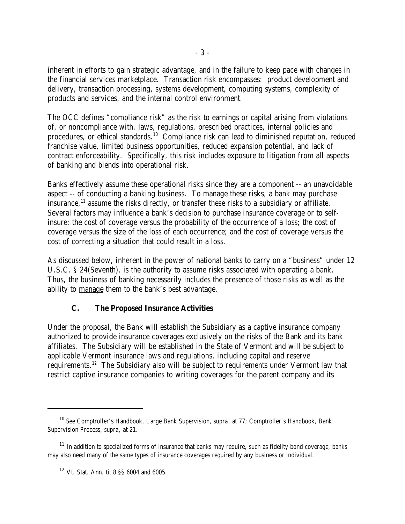inherent in efforts to gain strategic advantage, and in the failure to keep pace with changes in the financial services marketplace. Transaction risk encompasses: product development and delivery, transaction processing, systems development, computing systems, complexity of products and services, and the internal control environment.

The OCC defines "compliance risk" as the risk to earnings or capital arising from violations of, or noncompliance with, laws, regulations, prescribed practices, internal policies and procedures, or ethical standards.<sup>10</sup> Compliance risk can lead to diminished reputation, reduced franchise value, limited business opportunities, reduced expansion potential, and lack of contract enforceability. Specifically, this risk includes exposure to litigation from all aspects of banking and blends into operational risk.

Banks effectively assume these operational risks since they are a component -- an unavoidable aspect -- of conducting a banking business. To manage these risks, a bank may purchase insurance,  $\frac{11}{11}$  assume the risks directly, or transfer these risks to a subsidiary or affiliate. Several factors may influence a bank's decision to purchase insurance coverage or to selfinsure: the cost of coverage versus the probability of the occurrence of a loss; the cost of coverage versus the size of the loss of each occurrence; and the cost of coverage versus the cost of correcting a situation that could result in a loss.

As discussed below, inherent in the power of national banks to carry on a "business" under 12 U.S.C. § 24(Seventh), is the authority to assume risks associated with operating a bank. Thus, the business of banking necessarily includes the presence of those risks as well as the ability to manage them to the bank's best advantage.

## **C. The Proposed Insurance Activities**

Under the proposal, the Bank will establish the Subsidiary as a captive insurance company authorized to provide insurance coverages exclusively on the risks of the Bank and its bank affiliates. The Subsidiary will be established in the State of Vermont and will be subject to applicable Vermont insurance laws and regulations, including capital and reserve requirements.<sup>12</sup> The Subsidiary also will be subject to requirements under Vermont law that restrict captive insurance companies to writing coverages for the parent company and its

<sup>&</sup>lt;sup>10</sup> See Comptroller's Handbook, Large Bank Supervision, *supra*, at 77; Comptroller's Handbook, Bank Supervision Process, *supra*, at 21.

 $11$  In addition to specialized forms of insurance that banks may require, such as fidelity bond coverage, banks may also need many of the same types of insurance coverages required by any business or individual.

 $12$  Vt. Stat. Ann. tit 8 SS 6004 and 6005.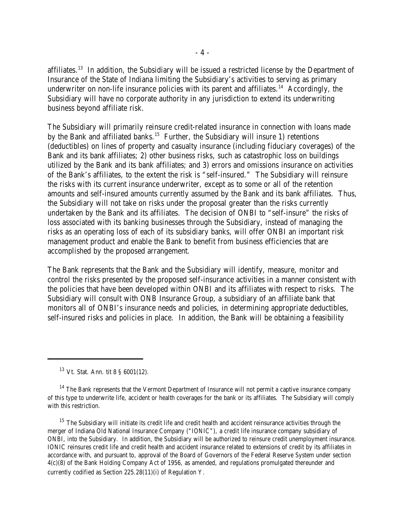affiliates.<sup>13</sup> In addition, the Subsidiary will be issued a restricted license by the Department of Insurance of the State of Indiana limiting the Subsidiary's activities to serving as primary underwriter on non-life insurance policies with its parent and affiliates.<sup>14</sup> Accordingly, the Subsidiary will have no corporate authority in any jurisdiction to extend its underwriting business beyond affiliate risk.

The Subsidiary will primarily reinsure credit-related insurance in connection with loans made by the Bank and affiliated banks.<sup>15</sup> Further, the Subsidiary will insure 1) retentions (deductibles) on lines of property and casualty insurance (including fiduciary coverages) of the Bank and its bank affiliates; 2) other business risks, such as catastrophic loss on buildings utilized by the Bank and its bank affiliates; and 3) errors and omissions insurance on activities of the Bank's affiliates, to the extent the risk is "self-insured." The Subsidiary will reinsure the risks with its current insurance underwriter, except as to some or all of the retention amounts and self-insured amounts currently assumed by the Bank and its bank affiliates. Thus, the Subsidiary will not take on risks under the proposal greater than the risks currently undertaken by the Bank and its affiliates. The decision of ONBI to "self-insure" the risks of loss associated with its banking businesses through the Subsidiary, instead of managing the risks as an operating loss of each of its subsidiary banks, will offer ONBI an important risk management product and enable the Bank to benefit from business efficiencies that are accomplished by the proposed arrangement.

The Bank represents that the Bank and the Subsidiary will identify, measure, monitor and control the risks presented by the proposed self-insurance activities in a manner consistent with the policies that have been developed within ONBI and its affiliates with respect to risks. The Subsidiary will consult with ONB Insurance Group, a subsidiary of an affiliate bank that monitors all of ONBI's insurance needs and policies, in determining appropriate deductibles, self-insured risks and policies in place. In addition, the Bank will be obtaining a feasibility

 $15$  The Subsidiary will initiate its credit life and credit health and accident reinsurance activities through the merger of Indiana Old National Insurance Company ("IONIC"), a credit life insurance company subsidiary of ONBI, into the Subsidiary. In addition, the Subsidiary will be authorized to reinsure credit unemployment insurance. IONIC reinsures credit life and credit health and accident insurance related to extensions of credit by its affiliates in accordance with, and pursuant to, approval of the Board of Governors of the Federal Reserve System under section 4(c)(8) of the Bank Holding Company Act of 1956, as amended, and regulations promulgated thereunder and currently codified as Section 225.28(11)(i) of Regulation Y.

 $13$  Vt. Stat. Ann. tit 8 § 6001(12).

 $14$  The Bank represents that the Vermont Department of Insurance will not permit a captive insurance company of this type to underwrite life, accident or health coverages for the bank or its affiliates. The Subsidiary will comply with this restriction.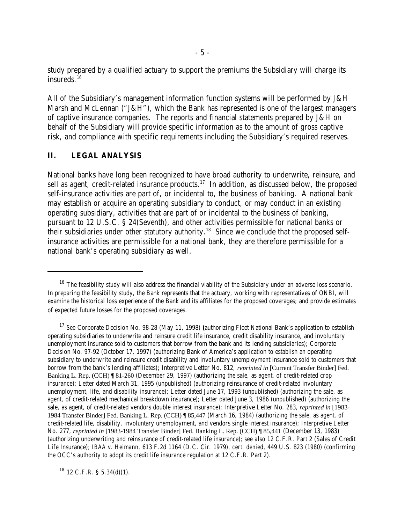study prepared by a qualified actuary to support the premiums the Subsidiary will charge its insureds. 16

All of the Subsidiary's management information function systems will be performed by J&H Marsh and McLennan ("J&H"), which the Bank has represented is one of the largest managers of captive insurance companies. The reports and financial statements prepared by J&H on behalf of the Subsidiary will provide specific information as to the amount of gross captive risk, and compliance with specific requirements including the Subsidiary's required reserves.

#### **II. LEGAL ANALYSIS**

National banks have long been recognized to have broad authority to underwrite, reinsure, and sell as agent, credit-related insurance products.<sup>17</sup> In addition, as discussed below, the proposed self-insurance activities are part of, or incidental to, the business of banking. A national bank may establish or acquire an operating subsidiary to conduct, or may conduct in an existing operating subsidiary, activities that are part of or incidental to the business of banking, pursuant to 12 U.S.C. § 24(Seventh), and other activities permissible for national banks or their subsidiaries under other statutory authority.<sup>18</sup> Since we conclude that the proposed selfinsurance activities are permissible for a national bank, they are therefore permissible for a national bank's operating subsidiary as well.

 $18$  12 C.F.R. § 5.34(d)(1).

 $16$  The feasibility study will also address the financial viability of the Subsidiary under an adverse loss scenario. In preparing the feasibility study, the Bank represents that the actuary, working with representatives of ONBI, will examine the historical loss experience of the Bank and its affiliates for the proposed coverages; and provide estimates of expected future losses for the proposed coverages.

*See* Corporate Decision No. 98-28 (May 11, 1998) **(**authorizing Fleet National Bank's application to establish <sup>17</sup> operating subsidiaries to underwrite and reinsure credit life insurance, credit disability insurance, and involuntary unemployment insurance sold to customers that borrow from the bank and its lending subsidiaries); Corporate Decision No. 97-92 (October 17, 1997) (authorizing Bank of America's application to establish an operating subsidiary to underwrite and reinsure credit disability and involuntary unemployment insurance sold to customers that borrow from the bank's lending affiliates); Interpretive Letter No. 812, *reprinted in* [Current Transfer Binder] Fed. Banking L. Rep. (CCH) ¶ 81-260 (December 29, 1997) (authorizing the sale, as agent, of credit-related crop insurance); Letter dated March 31, 1995 (unpublished) (authorizing reinsurance of credit-related involuntary unemployment, life, and disability insurance); Letter dated June 17, 1993 (unpublished) (authorizing the sale, as agent, of credit-related mechanical breakdown insurance); Letter dated June 3, 1986 (unpublished) (authorizing the sale, as agent, of credit-related vendors double interest insurance); Interpretive Letter No. 283, *reprinted in* [1983- 1984 Transfer Binder] Fed. Banking L. Rep. (CCH) ¶ 85,447 (March 16, 1984) (authorizing the sale, as agent, of credit-related life, disability, involuntary unemployment, and vendors single interest insurance); Interpretive Letter No. 277, *reprinted in* [1983-1984 Transfer Binder] Fed. Banking L. Rep. (CCH) ¶ 85,441 (December 13, 1983) (authorizing underwriting and reinsurance of credit-related life insurance); *see also* 12 C.F.R. Part 2 (Sales of Credit Life Insurance); *IBAA v. Heimann*, 613 F.2d 1164 (D.C. Cir. 1979), *cert. denied*, 449 U.S. 823 (1980) (confirming the OCC's authority to adopt its credit life insurance regulation at 12 C.F.R. Part 2).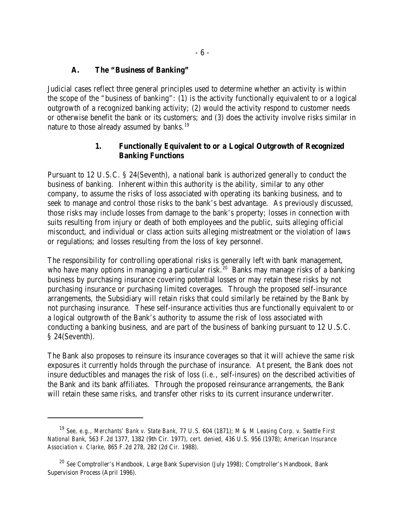#### **A. The "Business of Banking"**

Judicial cases reflect three general principles used to determine whether an activity is within the scope of the "business of banking": (1) is the activity functionally equivalent to or a logical outgrowth of a recognized banking activity; (2) would the activity respond to customer needs or otherwise benefit the bank or its customers; and (3) does the activity involve risks similar in nature to those already assumed by banks.<sup>19</sup>

## **1. Functionally Equivalent to or a Logical Outgrowth of Recognized Banking Functions**

Pursuant to 12 U.S.C. § 24(Seventh), a national bank is authorized generally to conduct the business of banking. Inherent within this authority is the ability, similar to any other company, to assume the risks of loss associated with operating its banking business, and to seek to manage and control those risks to the bank's best advantage. As previously discussed, those risks may include losses from damage to the bank's property; losses in connection with suits resulting from injury or death of both employees and the public, suits alleging official misconduct, and individual or class action suits alleging mistreatment or the violation of laws or regulations; and losses resulting from the loss of key personnel.

The responsibility for controlling operational risks is generally left with bank management, who have many options in managing a particular risk.<sup>20</sup> Banks may manage risks of a banking business by purchasing insurance covering potential losses or may retain these risks by not purchasing insurance or purchasing limited coverages. Through the proposed self-insurance arrangements, the Subsidiary will retain risks that could similarly be retained by the Bank by not purchasing insurance. These self-insurance activities thus are functionally equivalent to or a logical outgrowth of the Bank's authority to assume the risk of loss associated with conducting a banking business, and are part of the business of banking pursuant to 12 U.S.C. § 24(Seventh).

The Bank also proposes to reinsure its insurance coverages so that it will achieve the same risk exposures it currently holds through the purchase of insurance. At present, the Bank does not insure deductibles and manages the risk of loss (*i.e.*, self-insures) on the described activities of the Bank and its bank affiliates. Through the proposed reinsurance arrangements, the Bank will retain these same risks, and transfer other risks to its current insurance underwriter.

*See*, *e.g.*, *Merchants' Bank v. State Bank*, 77 U.S. 604 (1871); *M & M Leasing Corp. v. Seattle First* <sup>19</sup> *National Bank*, 563 F.2d 1377, 1382 (9th Cir. 1977), *cert. denied*, 436 U.S. 956 (1978); *American Insurance Association v. Clarke*, 865 F.2d 278, 282 (2d Cir. 1988).

<sup>&</sup>lt;sup>20</sup> See Comptroller's Handbook, Large Bank Supervision (July 1998); Comptroller's Handbook, Bank Supervision Process (April 1996).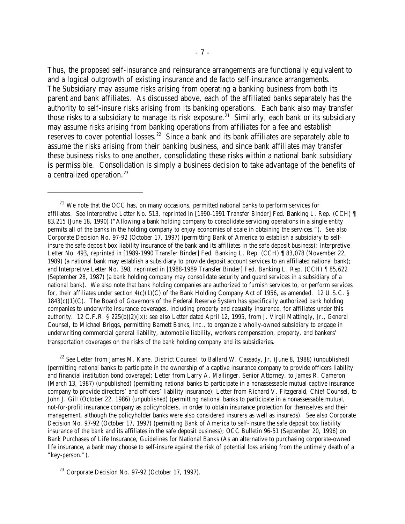Thus, the proposed self-insurance and reinsurance arrangements are functionally equivalent to and a logical outgrowth of existing insurance and *de facto* self-insurance arrangements. The Subsidiary may assume risks arising from operating a banking business from both its parent and bank affiliates. As discussed above, each of the affiliated banks separately has the authority to self-insure risks arising from its banking operations. Each bank also may transfer those risks to a subsidiary to manage its risk exposure.<sup>21</sup> Similarly, each bank or its subsidiary may assume risks arising from banking operations from affiliates for a fee and establish reserves to cover potential losses.<sup>22</sup> Since a bank and its bank affiliates are separately able to assume the risks arising from their banking business, and since bank affiliates may transfer these business risks to one another, consolidating these risks within a national bank subsidiary is permissible. Consolidation is simply a business decision to take advantage of the benefits of a centralized operation.<sup>23</sup>

<sup>22</sup> See Letter from James M. Kane, District Counsel, to Ballard W. Cassady, Jr. (June 8, 1988) (unpublished) (permitting national banks to participate in the ownership of a captive insurance company to provide officers liability and financial institution bond coverage); Letter from Larry A. Mallinger, Senior Attorney, to James R. Cameron (March 13, 1987) (unpublished) (permitting national banks to participate in a nonassessable mutual captive insurance company to provide directors' and officers' liability insurance); Letter from Richard V. Fitzgerald, Chief Counsel, to John J. Gill (October 22, 1986) (unpublished) (permitting national banks to participate in a nonassessable mutual, not-for-profit insurance company as policyholders, in order to obtain insurance protection for themselves and their management, although the policyholder banks were also considered insurers as well as insureds). *See also* Corporate Decision No. 97-92 (October 17, 1997) (permitting Bank of America to self-insure the safe deposit box liability insurance of the bank and its affiliates in the safe deposit business); OCC Bulletin 96-51 (September 20, 1996) on Bank Purchases of Life Insurance, Guidelines for National Banks (As an alternative to purchasing corporate-owned life insurance, a bank may choose to self-insure against the risk of potential loss arising from the untimely death of a "key-person.").

 $23$  Corporate Decision No. 97-92 (October 17, 1997).

 $21$  We note that the OCC has, on many occasions, permitted national banks to perform services for affiliates. *See* Interpretive Letter No. 513, *reprinted in* [1990-1991 Transfer Binder] Fed. Banking L. Rep. (CCH) ¶ 83,215 (June 18, 1990) ("Allowing a bank holding company to consolidate servicing operations in a single entity permits all of the banks in the holding company to enjoy economies of scale in obtaining the services."). *See also* Corporate Decision No. 97-92 (October 17, 1997) (permitting Bank of America to establish a subsidiary to selfinsure the safe deposit box liability insurance of the bank and its affiliates in the safe deposit business); Interpretive Letter No. 493, *reprinted in* [1989-1990 Transfer Binder] Fed. Banking L. Rep. (CCH) ¶ 83,078 (November 22, 1989) (a national bank may establish a subsidiary to provide deposit account services to an affiliated national bank); and Interpretive Letter No. 398, *reprinted in* [1988-1989 Transfer Binder] Fed. Banking L. Rep. (CCH) ¶ 85,622 (September 28, 1987) (a bank holding company may consolidate security and guard services in a subsidiary of a national bank). We also note that bank holding companies are authorized to furnish services to, or perform services for, their affiliates under section  $4(c)(1)(C)$  of the Bank Holding Company Act of 1956, as amended. 12 U.S.C. § 1843(c)(1)(C). The Board of Governors of the Federal Reserve System has specifically authorized bank holding companies to underwrite insurance coverages, including property and casualty insurance, for affiliates under this authority. 12 C.F.R. § 225(b)(2)(ix); *see also* Letter dated April 12, 1995, from J. Virgil Mattingly, Jr., General Counsel, to Michael Briggs, permitting Barnett Banks, Inc., to organize a wholly-owned subsidiary to engage in underwriting commercial general liability, automobile liability, workers compensation, property, and bankers' transportation coverages on the risks of the bank holding company and its subsidiaries.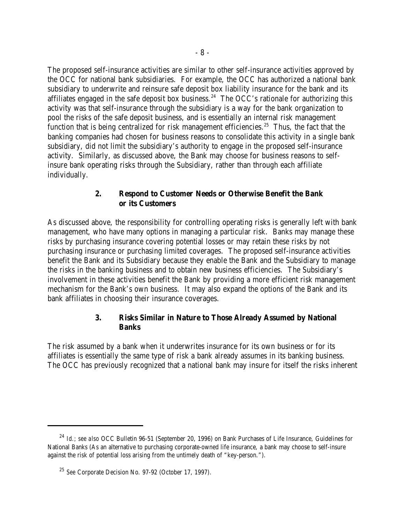The proposed self-insurance activities are similar to other self-insurance activities approved by the OCC for national bank subsidiaries. For example, the OCC has authorized a national bank subsidiary to underwrite and reinsure safe deposit box liability insurance for the bank and its affiliates engaged in the safe deposit box business.<sup>24</sup> The OCC's rationale for authorizing this activity was that self-insurance through the subsidiary is a way for the bank organization to pool the risks of the safe deposit business, and is essentially an internal risk management function that is being centralized for risk management efficiencies.<sup>25</sup> Thus, the fact that the banking companies had chosen for business reasons to consolidate this activity in a single bank subsidiary, did not limit the subsidiary's authority to engage in the proposed self-insurance activity. Similarly, as discussed above, the Bank may choose for business reasons to selfinsure bank operating risks through the Subsidiary, rather than through each affiliate individually.

### **2. Respond to Customer Needs or Otherwise Benefit the Bank or its Customers**

As discussed above, the responsibility for controlling operating risks is generally left with bank management, who have many options in managing a particular risk. Banks may manage these risks by purchasing insurance covering potential losses or may retain these risks by not purchasing insurance or purchasing limited coverages. The proposed self-insurance activities benefit the Bank and its Subsidiary because they enable the Bank and the Subsidiary to manage the risks in the banking business and to obtain new business efficiencies. The Subsidiary's involvement in these activities benefit the Bank by providing a more efficient risk management mechanism for the Bank's own business. It may also expand the options of the Bank and its bank affiliates in choosing their insurance coverages.

# **3. Risks Similar in Nature to Those Already Assumed by National Banks**

The risk assumed by a bank when it underwrites insurance for its own business or for its affiliates is essentially the same type of risk a bank already assumes in its banking business. The OCC has previously recognized that a national bank may insure for itself the risks inherent

<sup>&</sup>lt;sup>24</sup> Id.; see also OCC Bulletin 96-51 (September 20, 1996) on Bank Purchases of Life Insurance, Guidelines for National Banks (As an alternative to purchasing corporate-owned life insurance, a bank may choose to self-insure against the risk of potential loss arising from the untimely death of "key-person.").

<sup>&</sup>lt;sup>25</sup> See Corporate Decision No. 97-92 (October 17, 1997).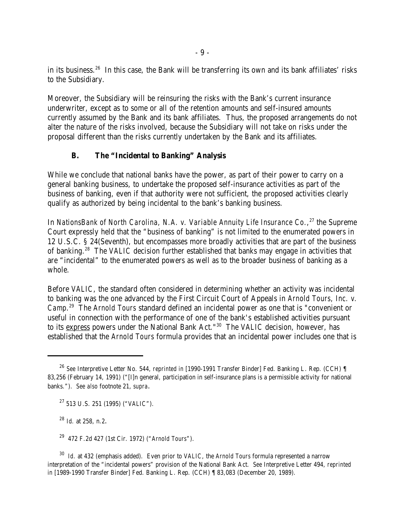in its business. <sup>26</sup> In this case, the Bank will be transferring its own and its bank affiliates' risks to the Subsidiary.

Moreover, the Subsidiary will be reinsuring the risks with the Bank's current insurance underwriter, except as to some or all of the retention amounts and self-insured amounts currently assumed by the Bank and its bank affiliates. Thus, the proposed arrangements do not alter the nature of the risks involved, because the Subsidiary will not take on risks under the proposal different than the risks currently undertaken by the Bank and its affiliates.

# **B. The "Incidental to Banking" Analysis**

While we conclude that national banks have the power, as part of their power to carry on a general banking business, to undertake the proposed self-insurance activities as part of the business of banking, even if that authority were not sufficient, the proposed activities clearly qualify as authorized by being incidental to the bank's banking business.

In *NationsBank of North Carolina, N.A. v. Variable Annuity Life Insurance Co.*<sup>27</sup> the Supreme Court expressly held that the "business of banking" is not limited to the enumerated powers in 12 U.S.C. § 24(Seventh), but encompasses more broadly activities that are part of the business of banking.<sup>28</sup> The *VALIC* decision further established that banks may engage in activities that are "incidental" to the enumerated powers as well as to the broader business of banking as a whole.

Before *VALIC*, the standard often considered in determining whether an activity was incidental to banking was the one advanced by the First Circuit Court of Appeals in *Arnold Tours, Inc. v. Camp.*<sup>29</sup> The *Arnold Tours* standard defined an incidental power as one that is "convenient or useful in connection with the performance of one of the bank's established activities pursuant to its express powers under the National Bank Act."<sup>30</sup> The *VALIC* decision, however, has established that the *Arnold Tours* formula provides that an incidental power includes one that is

<sup>28</sup> *Id.* at 258, n.2.

472 F.2d 427 (1st Cir. 1972) ("*Arnold Tours*"). <sup>29</sup>

<sup>30</sup> Id. at 432 (emphasis added). Even prior to *VALIC*, the *Arnold Tours* formula represented a narrow interpretation of the "incidental powers" provision of the National Bank Act. *See* Interpretive Letter 494, *reprinted in* [1989-1990 Transfer Binder] Fed. Banking L. Rep. (CCH) ¶ 83,083 (December 20, 1989).

*See* Interpretive Letter No. 544, *reprinted in* [1990-1991 Transfer Binder] Fed. Banking L. Rep. (CCH) ¶ <sup>26</sup> 83,256 (February 14, 1991) ("[I]n general, participation in self-insurance plans is a permissible activity for national banks."). *See also* footnote 21, *supra*.

<sup>&</sup>lt;sup>27</sup> 513 U.S. 251 (1995) ("*VALIC*").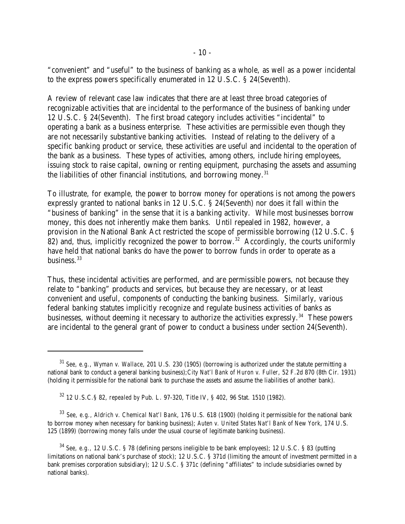"convenient" and "useful" to the business of banking as a whole, as well as a power incidental to the express powers specifically enumerated in 12 U.S.C. § 24(Seventh).

A review of relevant case law indicates that there are at least three broad categories of recognizable activities that are incidental to the performance of the business of banking under 12 U.S.C. § 24(Seventh). The first broad category includes activities "incidental" to operating a bank as a business enterprise. These activities are permissible even though they are not necessarily substantive banking activities. Instead of relating to the delivery of a specific banking product or service, these activities are useful and incidental to the operation of the bank as a business. These types of activities, among others, include hiring employees, issuing stock to raise capital, owning or renting equipment, purchasing the assets and assuming the liabilities of other financial institutions, and borrowing money.<sup>31</sup>

To illustrate, for example, the power to borrow money for operations is not among the powers expressly granted to national banks in 12 U.S.C. § 24(Seventh) nor does it fall within the "business of banking" in the sense that it is a banking activity. While most businesses borrow money, this does not inherently make them banks. Until repealed in 1982, however, a provision in the National Bank Act restricted the scope of permissible borrowing (12 U.S.C. § 82) and, thus, implicitly recognized the power to borrow.<sup>32</sup> Accordingly, the courts uniformly have held that national banks do have the power to borrow funds in order to operate as a business. $33$ 

Thus, these incidental activities are performed, and are permissible powers, not because they relate to "banking" products and services, but because they are necessary, or at least convenient and useful, components of conducting the banking business. Similarly, various federal banking statutes implicitly recognize and regulate business activities of banks as businesses, without deeming it necessary to authorize the activities expressly.<sup>34</sup> These powers are incidental to the general grant of power to conduct a business under section 24(Seventh).

*See, e.g.*, *Wyman v. Wallace*, 201 U.S. 230 (1905) (borrowing is authorized under the statute permitting a <sup>31</sup> national bank to conduct a general banking business);*City Nat'l Bank of Huron v. Fuller*, 52 F.2d 870 (8th Cir. 1931) (holding it permissible for the national bank to purchase the assets and assume the liabilities of another bank).

12 U.S.C.§ 82, *repealed by* Pub. L. 97-320, Title IV, § 402, 96 Stat. 1510 (1982). <sup>32</sup>

*See, e.g., Aldrich v. Chemical Nat'l Bank*, 176 U.S. 618 (1900) (holding it permissible for the national bank <sup>33</sup> to borrow money when necessary for banking business); *Auten v. United States Nat'l Bank of New York*, 174 U.S. 125 (1899) (borrowing money falls under the usual course of legitimate banking business).

<sup>&</sup>lt;sup>34</sup> See, e.g., 12 U.S.C. § 78 (defining persons ineligible to be bank employees); 12 U.S.C. § 83 (putting limitations on national bank's purchase of stock); 12 U.S.C. § 371d (limiting the amount of investment permitted in a bank premises corporation subsidiary); 12 U.S.C. § 371c (defining "affiliates" to include subsidiaries owned by national banks).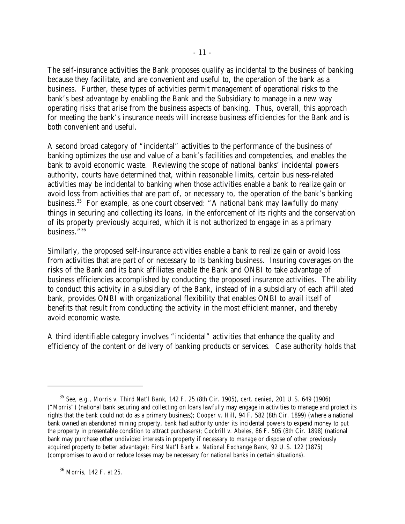The self-insurance activities the Bank proposes qualify as incidental to the business of banking because they facilitate, and are convenient and useful to, the operation of the bank as a business. Further, these types of activities permit management of operational risks to the bank's best advantage by enabling the Bank and the Subsidiary to manage in a new way operating risks that arise from the business aspects of banking. Thus, overall, this approach for meeting the bank's insurance needs will increase business efficiencies for the Bank and is both convenient and useful.

A second broad category of "incidental" activities to the performance of the business of banking optimizes the use and value of a bank's facilities and competencies, and enables the bank to avoid economic waste. Reviewing the scope of national banks' incidental powers authority, courts have determined that, within reasonable limits, certain business-related activities may be incidental to banking when those activities enable a bank to realize gain or avoid loss from activities that are part of, or necessary to, the operation of the bank's banking business.<sup>35</sup> For example, as one court observed: "A national bank may lawfully do many things in securing and collecting its loans, in the enforcement of its rights and the conservation of its property previously acquired, which it is not authorized to engage in as a primary business."<sup>36</sup>

Similarly, the proposed self-insurance activities enable a bank to realize gain or avoid loss from activities that are part of or necessary to its banking business. Insuring coverages on the risks of the Bank and its bank affiliates enable the Bank and ONBI to take advantage of business efficiencies accomplished by conducting the proposed insurance activities. The ability to conduct this activity in a subsidiary of the Bank, instead of in a subsidiary of each affiliated bank, provides ONBI with organizational flexibility that enables ONBI to avail itself of benefits that result from conducting the activity in the most efficient manner, and thereby avoid economic waste.

A third identifiable category involves "incidental" activities that enhance the quality and efficiency of the content or delivery of banking products or services. Case authority holds that

*See, e.g., Morris v. Third Nat'l Bank*, 142 F. 25 (8th Cir. 1905), *cert. denied*, 201 U.S. 649 (1906) <sup>35</sup> ("*Morris*") (national bank securing and collecting on loans lawfully may engage in activities to manage and protect its rights that the bank could not do as a primary business); *Cooper v. Hill*, 94 F. 582 (8th Cir. 1899) (where a national bank owned an abandoned mining property, bank had authority under its incidental powers to expend money to put the property in presentable condition to attract purchasers); *Cockrill v. Abeles*, 86 F. 505 (8th Cir. 1898) (national bank may purchase other undivided interests in property if necessary to manage or dispose of other previously acquired property to better advantage); *First Nat'l Bank v. National Exchange Bank*, 92 U.S. 122 (1875) (compromises to avoid or reduce losses may be necessary for national banks in certain situations).